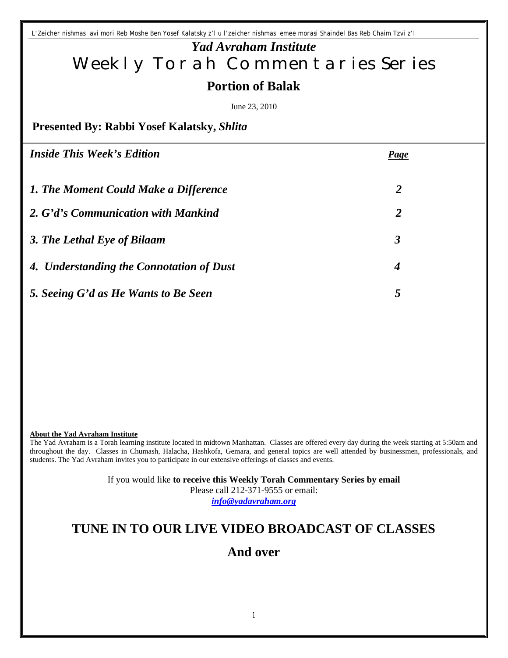*L'Zeicher nishmas avi mori Reb Moshe Ben Yosef Kalatsky z'l u l'zeicher nishmas emee morasi Shaindel Bas Reb Chaim Tzvi z'l*

# *Yad Avraham Institute* Weekly Torah Commentaries Series **Portion of Balak**

June 23, 2010

**Presented By: Rabbi Yosef Kalatsky,** *Shlita*

| <b>Inside This Week's Edition</b>        | <b>Page</b>          |
|------------------------------------------|----------------------|
| 1. The Moment Could Make a Difference    | 2                    |
| 2. G'd's Communication with Mankind      | 2                    |
| 3. The Lethal Eye of Bilaam              | $\boldsymbol{\beta}$ |
| 4. Understanding the Connotation of Dust | $\boldsymbol{4}$     |
| 5. Seeing G'd as He Wants to Be Seen     | 5                    |
|                                          |                      |

#### **About the Yad Avraham Institute**

The Yad Avraham is a Torah learning institute located in midtown Manhattan. Classes are offered every day during the week starting at 5:50am and throughout the day. Classes in Chumash, Halacha, Hashkofa, Gemara, and general topics are well attended by businessmen, professionals, and students. The Yad Avraham invites you to participate in our extensive offerings of classes and events.

> If you would like **to receive this Weekly Torah Commentary Series by email** Please call 212-371-9555 or email: *info@yadavraham.org*

# **TUNE IN TO OUR LIVE VIDEO BROADCAST OF CLASSES**

## **And over**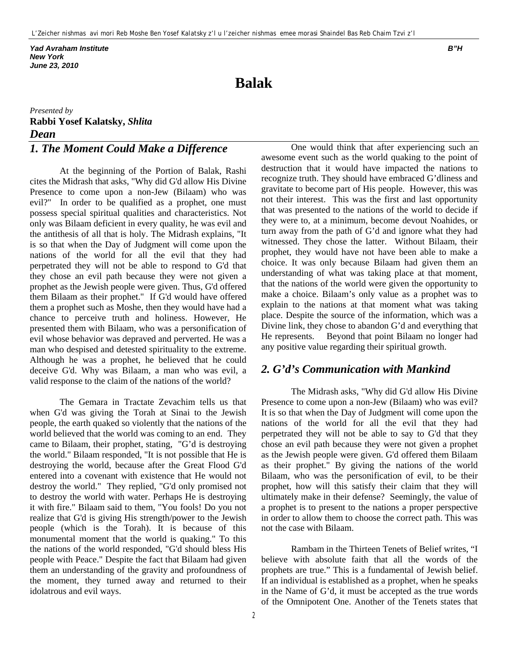*Yad Avraham Institute B"H New York June 23, 2010*

# **Balak**

*Presented by* **Rabbi Yosef Kalatsky,** *Shlita Dean* 

## *1. The Moment Could Make a Difference*

At the beginning of the Portion of Balak, Rashi cites the Midrash that asks, "Why did G'd allow His Divine Presence to come upon a non-Jew (Bilaam) who was evil?" In order to be qualified as a prophet, one must possess special spiritual qualities and characteristics. Not only was Bilaam deficient in every quality, he was evil and the antithesis of all that is holy. The Midrash explains, "It is so that when the Day of Judgment will come upon the nations of the world for all the evil that they had perpetrated they will not be able to respond to G'd that they chose an evil path because they were not given a prophet as the Jewish people were given. Thus, G'd offered them Bilaam as their prophet." If G'd would have offered them a prophet such as Moshe, then they would have had a chance to perceive truth and holiness. However, He presented them with Bilaam, who was a personification of evil whose behavior was depraved and perverted. He was a man who despised and detested spirituality to the extreme. Although he was a prophet, he believed that he could deceive G'd. Why was Bilaam, a man who was evil, a valid response to the claim of the nations of the world?

The Gemara in Tractate Zevachim tells us that when G'd was giving the Torah at Sinai to the Jewish people, the earth quaked so violently that the nations of the world believed that the world was coming to an end. They came to Bilaam, their prophet, stating, "G'd is destroying the world." Bilaam responded, "It is not possible that He is destroying the world, because after the Great Flood G'd entered into a covenant with existence that He would not destroy the world." They replied, "G'd only promised not to destroy the world with water. Perhaps He is destroying it with fire." Bilaam said to them, "You fools! Do you not realize that G'd is giving His strength/power to the Jewish people (which is the Torah). It is because of this monumental moment that the world is quaking." To this the nations of the world responded, "G'd should bless His people with Peace." Despite the fact that Bilaam had given them an understanding of the gravity and profoundness of the moment, they turned away and returned to their idolatrous and evil ways.

One would think that after experiencing such an awesome event such as the world quaking to the point of destruction that it would have impacted the nations to recognize truth. They should have embraced G'dliness and gravitate to become part of His people. However, this was not their interest. This was the first and last opportunity that was presented to the nations of the world to decide if they were to, at a minimum, become devout Noahides, or turn away from the path of G'd and ignore what they had witnessed. They chose the latter. Without Bilaam, their prophet, they would have not have been able to make a choice. It was only because Bilaam had given them an understanding of what was taking place at that moment, that the nations of the world were given the opportunity to make a choice. Bilaam's only value as a prophet was to explain to the nations at that moment what was taking place. Despite the source of the information, which was a Divine link, they chose to abandon G'd and everything that He represents. Beyond that point Bilaam no longer had any positive value regarding their spiritual growth.

### *2. G'd's Communication with Mankind*

The Midrash asks, "Why did G'd allow His Divine Presence to come upon a non-Jew (Bilaam) who was evil? It is so that when the Day of Judgment will come upon the nations of the world for all the evil that they had perpetrated they will not be able to say to G'd that they chose an evil path because they were not given a prophet as the Jewish people were given. G'd offered them Bilaam as their prophet." By giving the nations of the world Bilaam, who was the personification of evil, to be their prophet, how will this satisfy their claim that they will ultimately make in their defense? Seemingly, the value of a prophet is to present to the nations a proper perspective in order to allow them to choose the correct path. This was not the case with Bilaam.

Rambam in the Thirteen Tenets of Belief writes, "I believe with absolute faith that all the words of the prophets are true." This is a fundamental of Jewish belief. If an individual is established as a prophet, when he speaks in the Name of G'd, it must be accepted as the true words of the Omnipotent One. Another of the Tenets states that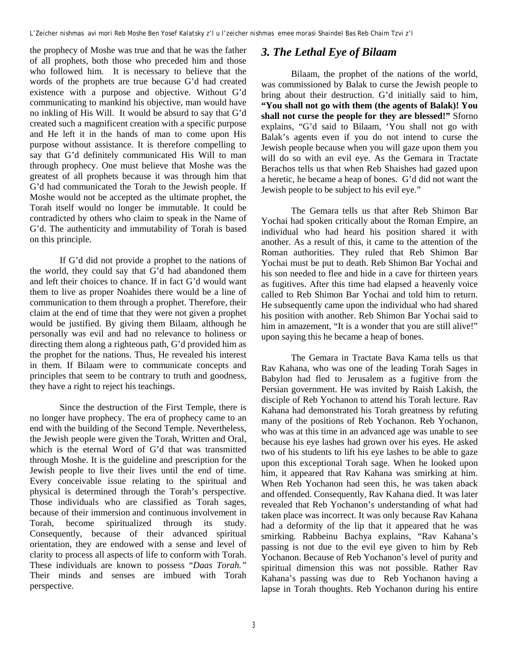the prophecy of Moshe was true and that he was the father of all prophets, both those who preceded him and those who followed him. It is necessary to believe that the words of the prophets are true because G'd had created existence with a purpose and objective. Without G'd communicating to mankind his objective, man would have no inkling of His Will. It would be absurd to say that G'd created such a magnificent creation with a specific purpose and He left it in the hands of man to come upon His purpose without assistance. It is therefore compelling to say that G'd definitely communicated His Will to man through prophecy. One must believe that Moshe was the greatest of all prophets because it was through him that G'd had communicated the Torah to the Jewish people. If Moshe would not be accepted as the ultimate prophet, the Torah itself would no longer be immutable. It could be contradicted by others who claim to speak in the Name of G'd. The authenticity and immutability of Torah is based on this principle.

If G'd did not provide a prophet to the nations of the world, they could say that G'd had abandoned them and left their choices to chance. If in fact G'd would want them to live as proper Noahides there would be a line of communication to them through a prophet. Therefore, their claim at the end of time that they were not given a prophet would be justified. By giving them Bilaam, although he personally was evil and had no relevance to holiness or directing them along a righteous path, G'd provided him as the prophet for the nations. Thus, He revealed his interest in them. If Bilaam were to communicate concepts and principles that seem to be contrary to truth and goodness, they have a right to reject his teachings.

Since the destruction of the First Temple, there is no longer have prophecy. The era of prophecy came to an end with the building of the Second Temple. Nevertheless, the Jewish people were given the Torah, Written and Oral, which is the eternal Word of G'd that was transmitted through Moshe. It is the guideline and prescription for the Jewish people to live their lives until the end of time. Every conceivable issue relating to the spiritual and physical is determined through the Torah's perspective. Those individuals who are classified as Torah sages, because of their immersion and continuous involvement in Torah, become spiritualized through its study. Consequently, because of their advanced spiritual orientation, they are endowed with a sense and level of clarity to process all aspects of life to conform with Torah. These individuals are known to possess "*Daas Torah."* Their minds and senses are imbued with Torah perspective.

## *3. The Lethal Eye of Bilaam*

Bilaam, the prophet of the nations of the world, was commissioned by Balak to curse the Jewish people to bring about their destruction. G'd initially said to him, **"You shall not go with them (the agents of Balak)! You shall not curse the people for they are blessed!"** Sforno explains, "G'd said to Bilaam, 'You shall not go with Balak's agents even if you do not intend to curse the Jewish people because when you will gaze upon them you will do so with an evil eye. As the Gemara in Tractate Berachos tells us that when Reb Shaishes had gazed upon a heretic, he became a heap of bones. G'd did not want the Jewish people to be subject to his evil eye."

The Gemara tells us that after Reb Shimon Bar Yochai had spoken critically about the Roman Empire, an individual who had heard his position shared it with another. As a result of this, it came to the attention of the Roman authorities. They ruled that Reb Shimon Bar Yochai must be put to death. Reb Shimon Bar Yochai and his son needed to flee and hide in a cave for thirteen years as fugitives. After this time had elapsed a heavenly voice called to Reb Shimon Bar Yochai and told him to return. He subsequently came upon the individual who had shared his position with another. Reb Shimon Bar Yochai said to him in amazement, "It is a wonder that you are still alive!" upon saying this he became a heap of bones.

The Gemara in Tractate Bava Kama tells us that Rav Kahana, who was one of the leading Torah Sages in Babylon had fled to Jerusalem as a fugitive from the Persian government. He was invited by Raish Lakish, the disciple of Reb Yochanon to attend his Torah lecture. Rav Kahana had demonstrated his Torah greatness by refuting many of the positions of Reb Yochanon. Reb Yochanon, who was at this time in an advanced age was unable to see because his eye lashes had grown over his eyes. He asked two of his students to lift his eye lashes to be able to gaze upon this exceptional Torah sage. When he looked upon him, it appeared that Rav Kahana was smirking at him. When Reb Yochanon had seen this, he was taken aback and offended. Consequently, Rav Kahana died. It was later revealed that Reb Yochanon's understanding of what had taken place was incorrect. It was only because Rav Kahana had a deformity of the lip that it appeared that he was smirking. Rabbeinu Bachya explains, "Rav Kahana's passing is not due to the evil eye given to him by Reb Yochanon. Because of Reb Yochanon's level of purity and spiritual dimension this was not possible. Rather Rav Kahana's passing was due to Reb Yochanon having a lapse in Torah thoughts. Reb Yochanon during his entire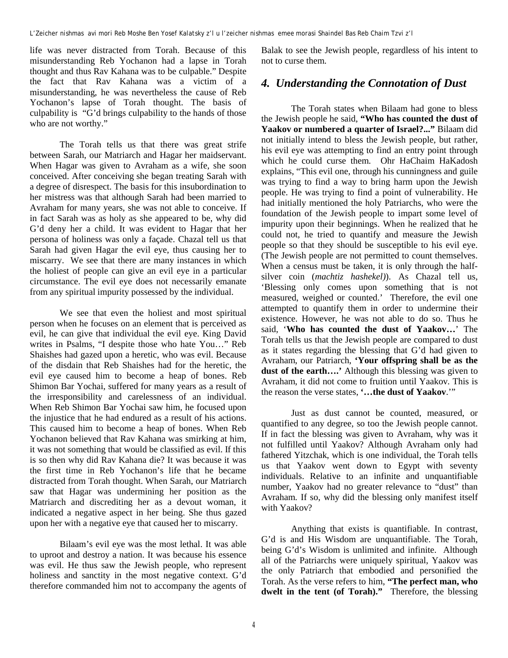life was never distracted from Torah. Because of this misunderstanding Reb Yochanon had a lapse in Torah thought and thus Rav Kahana was to be culpable." Despite the fact that Rav Kahana was a victim of a misunderstanding, he was nevertheless the cause of Reb Yochanon's lapse of Torah thought. The basis of culpability is "G'd brings culpability to the hands of those who are not worthy."

The Torah tells us that there was great strife between Sarah, our Matriarch and Hagar her maidservant. When Hagar was given to Avraham as a wife, she soon conceived. After conceiving she began treating Sarah with a degree of disrespect. The basis for this insubordination to her mistress was that although Sarah had been married to Avraham for many years, she was not able to conceive. If in fact Sarah was as holy as she appeared to be, why did G'd deny her a child. It was evident to Hagar that her persona of holiness was only a façade. Chazal tell us that Sarah had given Hagar the evil eye, thus causing her to miscarry. We see that there are many instances in which the holiest of people can give an evil eye in a particular circumstance. The evil eye does not necessarily emanate from any spiritual impurity possessed by the individual.

We see that even the holiest and most spiritual person when he focuses on an element that is perceived as evil, he can give that individual the evil eye. King David writes in Psalms, "I despite those who hate You…" Reb Shaishes had gazed upon a heretic, who was evil. Because of the disdain that Reb Shaishes had for the heretic, the evil eye caused him to become a heap of bones. Reb Shimon Bar Yochai, suffered for many years as a result of the irresponsibility and carelessness of an individual. When Reb Shimon Bar Yochai saw him, he focused upon the injustice that he had endured as a result of his actions. This caused him to become a heap of bones. When Reb Yochanon believed that Rav Kahana was smirking at him, it was not something that would be classified as evil. If this is so then why did Rav Kahana die? It was because it was the first time in Reb Yochanon's life that he became distracted from Torah thought. When Sarah, our Matriarch saw that Hagar was undermining her position as the Matriarch and discrediting her as a devout woman, it indicated a negative aspect in her being. She thus gazed upon her with a negative eye that caused her to miscarry.

Bilaam's evil eye was the most lethal. It was able to uproot and destroy a nation. It was because his essence was evil. He thus saw the Jewish people, who represent holiness and sanctity in the most negative context. G'd therefore commanded him not to accompany the agents of Balak to see the Jewish people, regardless of his intent to not to curse them.

### *4. Understanding the Connotation of Dust*

The Torah states when Bilaam had gone to bless the Jewish people he said, **"Who has counted the dust of Yaakov or numbered a quarter of Israel?..."** Bilaam did not initially intend to bless the Jewish people, but rather, his evil eye was attempting to find an entry point through which he could curse them. Ohr HaChaim HaKadosh explains, "This evil one, through his cunningness and guile was trying to find a way to bring harm upon the Jewish people. He was trying to find a point of vulnerability. He had initially mentioned the holy Patriarchs, who were the foundation of the Jewish people to impart some level of impurity upon their beginnings. When he realized that he could not, he tried to quantify and measure the Jewish people so that they should be susceptible to his evil eye. (The Jewish people are not permitted to count themselves. When a census must be taken, it is only through the halfsilver coin (*machtiz hashekel)*). As Chazal tell us, 'Blessing only comes upon something that is not measured, weighed or counted.' Therefore, the evil one attempted to quantify them in order to undermine their existence. However, he was not able to do so. Thus he said, '**Who has counted the dust of Yaakov…**' The Torah tells us that the Jewish people are compared to dust as it states regarding the blessing that G'd had given to Avraham, our Patriarch, **'Your offspring shall be as the dust of the earth….'** Although this blessing was given to Avraham, it did not come to fruition until Yaakov. This is the reason the verse states, **'…the dust of Yaakov**.'"

Just as dust cannot be counted, measured, or quantified to any degree, so too the Jewish people cannot. If in fact the blessing was given to Avraham, why was it not fulfilled until Yaakov? Although Avraham only had fathered Yitzchak, which is one individual, the Torah tells us that Yaakov went down to Egypt with seventy individuals. Relative to an infinite and unquantifiable number, Yaakov had no greater relevance to "dust" than Avraham. If so, why did the blessing only manifest itself with Yaakov?

Anything that exists is quantifiable. In contrast, G'd is and His Wisdom are unquantifiable. The Torah, being G'd's Wisdom is unlimited and infinite. Although all of the Patriarchs were uniquely spiritual, Yaakov was the only Patriarch that embodied and personified the Torah. As the verse refers to him, **"The perfect man, who dwelt in the tent (of Torah)."** Therefore, the blessing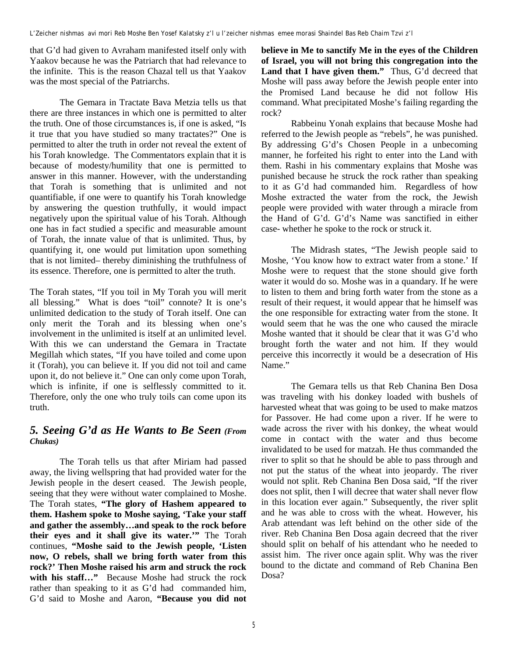that G'd had given to Avraham manifested itself only with Yaakov because he was the Patriarch that had relevance to the infinite. This is the reason Chazal tell us that Yaakov was the most special of the Patriarchs.

The Gemara in Tractate Bava Metzia tells us that there are three instances in which one is permitted to alter the truth. One of those circumstances is, if one is asked, "Is it true that you have studied so many tractates?" One is permitted to alter the truth in order not reveal the extent of his Torah knowledge. The Commentators explain that it is because of modesty/humility that one is permitted to answer in this manner. However, with the understanding that Torah is something that is unlimited and not quantifiable, if one were to quantify his Torah knowledge by answering the question truthfully, it would impact negatively upon the spiritual value of his Torah. Although one has in fact studied a specific and measurable amount of Torah, the innate value of that is unlimited. Thus, by quantifying it, one would put limitation upon something that is not limited– thereby diminishing the truthfulness of its essence. Therefore, one is permitted to alter the truth.

The Torah states, "If you toil in My Torah you will merit all blessing." What is does "toil" connote? It is one's unlimited dedication to the study of Torah itself. One can only merit the Torah and its blessing when one's involvement in the unlimited is itself at an unlimited level. With this we can understand the Gemara in Tractate Megillah which states, "If you have toiled and come upon it (Torah), you can believe it. If you did not toil and came upon it, do not believe it." One can only come upon Torah, which is infinite, if one is selflessly committed to it. Therefore, only the one who truly toils can come upon its truth.

### *5. Seeing G'd as He Wants to Be Seen (From Chukas)*

The Torah tells us that after Miriam had passed away, the living wellspring that had provided water for the Jewish people in the desert ceased. The Jewish people, seeing that they were without water complained to Moshe. The Torah states, **"The glory of Hashem appeared to them. Hashem spoke to Moshe saying, 'Take your staff and gather the assembly…and speak to the rock before their eyes and it shall give its water.'"** The Torah continues, **"Moshe said to the Jewish people, 'Listen now, O rebels, shall we bring forth water from this rock?' Then Moshe raised his arm and struck the rock**  with his staff..." Because Moshe had struck the rock rather than speaking to it as G'd had commanded him, G'd said to Moshe and Aaron, **"Because you did not**  **believe in Me to sanctify Me in the eyes of the Children of Israel, you will not bring this congregation into the Land that I have given them."** Thus, G'd decreed that Moshe will pass away before the Jewish people enter into the Promised Land because he did not follow His command. What precipitated Moshe's failing regarding the rock?

Rabbeinu Yonah explains that because Moshe had referred to the Jewish people as "rebels", he was punished. By addressing G'd's Chosen People in a unbecoming manner, he forfeited his right to enter into the Land with them. Rashi in his commentary explains that Moshe was punished because he struck the rock rather than speaking to it as G'd had commanded him. Regardless of how Moshe extracted the water from the rock, the Jewish people were provided with water through a miracle from the Hand of G'd. G'd's Name was sanctified in either case- whether he spoke to the rock or struck it.

The Midrash states, "The Jewish people said to Moshe, 'You know how to extract water from a stone.' If Moshe were to request that the stone should give forth water it would do so. Moshe was in a quandary. If he were to listen to them and bring forth water from the stone as a result of their request, it would appear that he himself was the one responsible for extracting water from the stone. It would seem that he was the one who caused the miracle Moshe wanted that it should be clear that it was G'd who brought forth the water and not him. If they would perceive this incorrectly it would be a desecration of His Name."

The Gemara tells us that Reb Chanina Ben Dosa was traveling with his donkey loaded with bushels of harvested wheat that was going to be used to make matzos for Passover. He had come upon a river. If he were to wade across the river with his donkey, the wheat would come in contact with the water and thus become invalidated to be used for matzah. He thus commanded the river to split so that he should be able to pass through and not put the status of the wheat into jeopardy. The river would not split. Reb Chanina Ben Dosa said, "If the river does not split, then I will decree that water shall never flow in this location ever again." Subsequently, the river split and he was able to cross with the wheat. However, his Arab attendant was left behind on the other side of the river. Reb Chanina Ben Dosa again decreed that the river should split on behalf of his attendant who he needed to assist him. The river once again split. Why was the river bound to the dictate and command of Reb Chanina Ben Dosa?